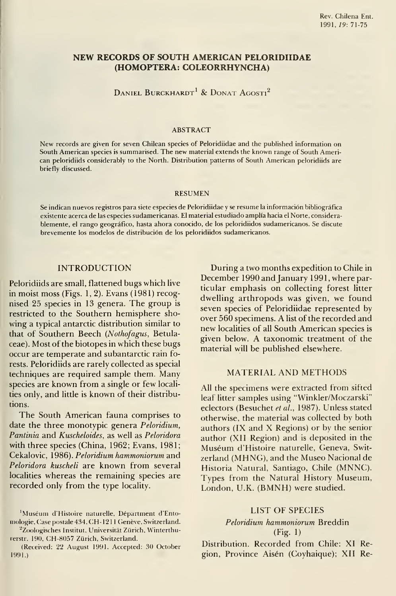# NEW RECORDS OF SOUTH AMERICAN PELORIDIIDAE (HOMOPTERA: COLEORRHYNCHA)

DANIEL BURCKHARDT<sup>1</sup> & DONAT AGOSTI<sup>2</sup>

#### ABSTRACT

New records are given for seven Chilean species of Peloridiidae and the published information on South American species is summarised. The new material extends the known range of South American peloridiids considerably to the North. Distribution patterns of South American peloridiids are briefly discussed.

#### RESUMEN

Se indican nuevos registros para siete especies de Peloridiidae <sup>y</sup> se resume la información bibliográfica existente acerca de las especies sudamericanas. El material estudiado amplía hacia el Norte, considera blemente, el rango geográfico, hasta ahora conocido, de los peloridiidos sudamericanos. Se discute brevemente los modelos de distribución de los peloridiidos sudamericanos.

## INTRODUCTION

Peloridiids are small, flattened bugs which live in moist moss (Figs. 1, 2). Evans (1981) recognised 25 species in 13 genera. The group is restricted to the Southern hemisphere showing a typical antarctic distribution similar to that of Southern Beech (Nothofagus, Betulaceae). Most of the biotopes in which these bugs occur are températe and subantarctic rain forests. Peloridiids are rarely collected as special techniques are required sample them. Many species are known from a single or few localities only, and little is known of their distributions.

The South American fauna comprises to date the three monotypic genera Peloridium, Pantinia and Kuscheloides, as well as Peloridora with three species (China, 1962; Evans, 1981; Cekalovic, 1986). Peloridium hammoniorum and Peloridora kuscheli are known from several localities whereas the remaining species are recorded only from the type locality.

"Zoologisches Instituí, Universitát Zürich, Winterthurerstr. 190, CH-8057 Zürich, Switzerland.

(Received: 22 August 1991. Accepted: 30 October 1991.)

During a two months expedition to Chile in December 1990 and January 1991, where particular emphasis on collecting forest litter dwelling arthropods was given, we found seven species of Peloridiidae represented by over 560 specimens. A list of the recorded and new localities of all South American species is given below. A taxonomic treatment of the material will be published elsewhere.

### MATERIAL AND METHODS

All the specimens were extracted from sifted leaf litter samples using "Winkler/Moczarski" eclectors (Besuchet et al., 1987). Unless stated otherwise, the material was collected by both authors (IX and X Regions) or by the sénior author (XII Región) and is deposited in the Muséum d'Histoire naturelle, Geneva, Switzerland (MHNG), and the Museo Nacional de Historia Natural, Santiago, Chile (MNNC). Types from the Natural History Museum, London, U.K. (BMNH) were studied.

### LIST OF SPECIES

## Peloridium hammoniorum Breddin (Fig. 1)

Distribution. Recorded from Chile: XI Región, Province Aisén (Coyhaique); XII Re-

<sup>&#</sup>x27;Muséum d'Histoire naturelle, Department d'Entomologie, Case postale 434, CH-1211 Genève, Switzerland.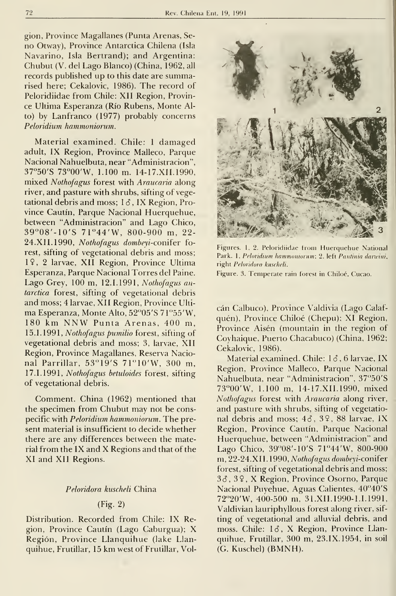gion, Province Magallanes (Punta Arenas, Se no Otway), Province Antarctica Chilena (Isla Navarino, Isla Bertrand); and Argentina: Chubut (V. del Lago Blanco) (China, 1962, all records published up to this date are summarised here; Cekalovic, 1986). The record of Peloridiidae from Chile: XII Region, Province Ultima Esperanza (Río Rubens, Monte Alto) by Lanfranco (1977) probably concerns Peloridium hammoniorum.

Material examined. Chile: <sup>1</sup> damaged adult, IX Region, Province Malleco, Parque Nacional Nahuelbuta, near "Administración", 37°50'S 73°00'W, 1.100 m. 14-17. XII. 1990, mixed Nothofagus forest with Araucaria along river, and pasture with shrubs, sifting of vegetational debris and moss;  $1\delta$ , IX Region, Province Cautín, Parque Nacional Huerquehue, between "Administración" and Lago Chico, 39°08'-10'S 7r44'W, 800-900 m, 22- 24.XII.1990, Nothofagus dombeyi-conifer forest, sifting of vegetational debris and moss; 19, 2 larvae, XII Region, Province Ultima Esperanza, Parque Nacional Torres del Paine. Lago Grey, 100 m, 12.1.1991, Nothofagus antarctica forest, sifting of vegetational debris and moss; 4 larvae, XII Region, Province Ultima Esperanza, Monte Alto, 52"05'S 71"55'W, <sup>180</sup> km NNW Punta Arenas, <sup>400</sup> m, 15.1.1991, Nothofagus pumilio forest, sifting of vegetational debris and moss; 3, larvae, XII Región, Province Magallanes, Reserva Nacional Parrillar, 53"19'S 71"10'W, 300 m, 17.1.1991, Nothofagus betuloides forest, sifting of vegetational debris.

Comment. China (1962) mentioned that the specimen from Chubut may not be conspecific with Peloridium hammoniorum. The present material is insufficient to decide whether there are any differences between the material from the IX and X Regions and that of the XI and XII Regions.

### Peloridora kuscheli China

## (Fig. 2)

Distribution. Recorded from Chile: IX Región, Province Cautín (Lago Caburgua); X Región, Province Llanquihue (lake Llanquihue. Frutillar, <sup>15</sup> km west of Frutillar, Vol-



Figures. 1, 2. Peloridiidae trom Huerquehue National Park. 1, Peloridium hammoniorum; 2, left Pantinia darwini, right Peloridora kuscheli. Figure. 3. Temperate rain forest in Chiloé, Cucao.

cán Calbuco), Province Valdivia (Lago Calafquén), Province Chiloé (Chepu); XI Región, Province Aisén (mountain in the region of Coyhaique, Puerto Chacabuco) (China, 1962; Cekalovic, 1986).

Material examined. Chile:  $1\delta$ , 6 larvae, IX Región, Province Malleco, Parque Nacional Nahuelbuta, near "Administración", 37"50'S 73"00'W, 1.100 m, 14-17. XII. 1990, mixed Nothofagus forest with Araucaria along river, and pasture with shrubs, sifting of vegetational debris and moss; 46, 39, 88 larvae, IX Región, Province Cautín, Parque Nacional Huerquehue, between "Administración" and Lago Chico, 39°08'-10'S 71°44'W, 800-900 m, 22-24. XII. 1990, Nothofagus dombeyi-coniíer forest, sifting of vegetational debris and moss; 3ó, 39, X Región, Province Osorno, Parque Nacional Puyehue, Aguas Calientes, 40"40'S 72"20'W, 400-500 m, 31.XII. 1990-1.1. 1991, Valdivian lauriphyllous forest along river, sif ting of vegetational and alluvial debris, and moss. Chile: 16, X Region, Province Llanquihue, Frutillar, 300 m, 23.IX.1954, in soil (G. Kuschel) (BMNH).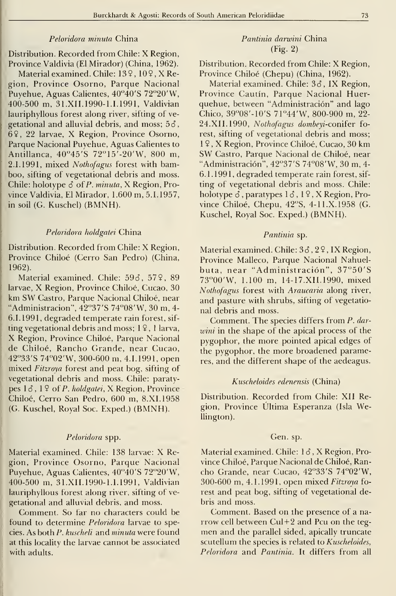## Peloridora minuta China

Distribution. Recorded from Chile: X Region, Province Valdivia (El Mirador) (China, 1962).

Material examined. Chile: 139, 109, X Región, Province Osorno, Parque Nacional Puyehue, Aguas Calientes, 40°40'S 72°20'W, 400-500 m, 31.XII.1990-1.I.1991, Valdivian lauriphyllous forest along river, sifting of ve getational and alluvial debris, and moss;  $5\delta$ , 69, 22 larvae, X Región, Province Osorno, Parque Nacional Puyehue, Aguas Calientes to Antillanca, 40"45'S 72"15'-20'W, 800 m, 2.1.1991, mixed Nothofagus forest with bamboo, sifting of vegetational debris and moss. Chile: holotype  $\delta$  of P. minuta, X Region, Province Valdivia, El Mirador, <sup>1</sup> .600 m, 5.1. 1957, in soil (G. Kuschel) (BMNH).

## Peloridora holdgatei China

Distribution. Recorded from Chile: X Region, Province Chiloé (Cerro San Pedro) (China, 1962).

Material examined. Chile: 596, 579, 89 larvae, X Región, Province Chiloé, Cucao, 30 km SW Castro, Parque Nacional Chiloé, near "Administración", 42"37'S 74"08'W, 30 m, 4- 6.I.1991, degraded temperate rain forest, sifting vegetational debris and moss;  $1\sqrt{9}$ , 1 larva, X Región, Province Chiloé, Parque Nacional de Chiloé, Rancho Grande, near Cucao, 42"33'S 74"02'W, 300-600 m, 4.1.1991, open mixed Fitzroya forest and peat bog, sifting of vegetational debris and moss. Chile: paratypes  $1\delta$ ,  $1\delta$  of P. holdgatei, X Region, Province Chiloé, Cerro San Pedro, 600 m, 8. XI. 1958 (G. Kuschel, Royal Soc. Exped.) (BMNH).

#### Peloridora spp.

Material examined. Chile: <sup>138</sup> larvae: X Región, Province Osorno, Parque Nacional Puyehue, Aguas Calientes, 40"40'S 72"20'W, 400-500 m, 31.XII.1990-1.1.1991, Valdivian lauriphyllous forest along river, sifting of ve getational and alluvial debris, and moss.

Comment. So far no characters could be found to determine *Peloridora* larvae to species. As both P. kuscheli and minuta were found at this locality the larvae cannot be associated with adults.

# Pantinia darwini China (Fig. 2)

Distribution. Recorded from Chile: X Region, Province Chiloé (Chepu) (China, 1962).

Material examined. Chile: 36, IX Region, Province Cautín, Parque Nacional Huerquehue, between "Administración" and lago Chico, 39°08'-10'S 71°44'W, 800-900 m, 22-24.XII.1990, Nothofagus dombeyi-conifer forest, sifting of vegetational debris and moss; <sup>1</sup> <sup>9</sup> , X Región, Province Chiloé, Cucao, 30 km SW Castro, Parque Nacional de Chiloé, near "Administración", 42"37'S 74"08'W, 30 m, 4- 6.1.1991, degraded temperate rain forest, sifting of vegetational debris and moss. Chile: holotype  $\delta$ , paratypes  $1\delta$ , 19, X Region, Province Chiloé, Chepu, 42"S, 4-1 l.X. 1958 (G. Kuschel, Royal Soc. Exped.) (BMNH).

#### Pantinia sp.

Material examined. Chile:  $3\delta$ ,  $2\frac{9}{1}$ , IX Region, Province Malleco, Parque Nacional Nahuelbuta, near "Administración", 37"50'S 73"00'W, 1.100 m, 14-17. XII. 1990, mixed Nothofagus forest with Araucaria along river, and pasture with shrubs, sifting of vegetational debris and moss.

Comment. The species differs from P. dar wini in the shape of the apical process of the pygophor, the more pointed apical edges of the pygophor, the more broadened parameres, and the different shape of the aedeagus.

#### Kuscheloides edenensis (China)

Distribution. Recorded from Chile: XII Región, Province Última Esperanza (Isla Wellington).

#### Gen. sp.

Material examined. Chile: 13, X Region, Province Chiloé, Parque Nacional de Chiloé, Rancho Grande, near Cucao, 42"33'S 74"02'W, 300-600 m, 4.1.1991, open mixed Fitzroya fo rest and peat bog, sifting of vegetational debris and moss.

Comment. Based on the presence of a na rrow cell between  $CuI + 2$  and Pcu on the tegmen and the parallel sided, apically truncate scutellum the species is related to Kuscheloides, Peloridora and Pantinia. It differs from all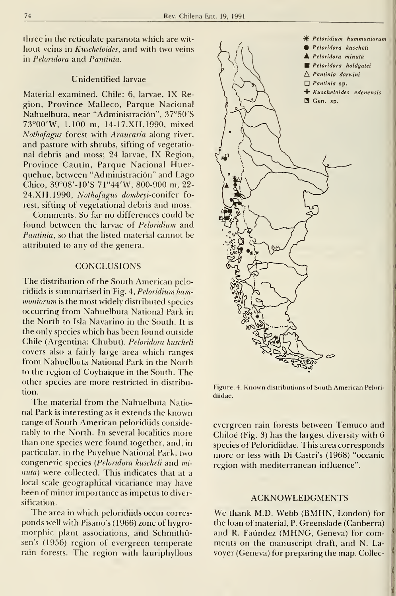three in the reticulate paranota which are without veins in Kuscheloides, and with two veins in Peloridora and Pantinia.

## Unidentified larvae

Material examined. Chile: 6, larvae, IX Región, Province Malleco, Parque Nacional Nahuelbuta, near "Administración", 37"50'S 73"00'W, 1.100 m, 14-17. XII. 1990, mixed Nothofagus forest with Araucaria along river, and pasture with shrubs, sifting of vegetational debris and moss; 24 larvae, IX Region, Province Cautín, Parque Nacional Huerquehue, between "Administración" and Lago Chico, 39"08'-10'S 71"44'W, 800-900 m, 22- 24. XII. 1990, Nothofagus dombeyi-coniíer forest, sifting oí vegetational debris and moss.

Comments. So far no differences could be found between the larvae of Peloridium and Pantinia, so that the listed material cannot be attributed to any of the genera.

### **CONCLUSIONS**

The distribution of the South American peloridiids is summarised in Fig. 4, Peloridium hammoniorum is the most widely distributed species occurring from Nahuelbuta National Park in the North to Isla Navarino in the South. It is the only species which has been found outside Chile (Argentina: Chubut). Peloridora kuscheli covers also a fairly large area which ranges from Nahuelbuta National Park in the North to the región of Coyhaique in the South. The other species are more restricted in distribution.

The material from the Nahuelbuta National Park is interesting as it extends the known range of South American peloridiids considerably to the North. In several localities more than one species were found together, and, in particular, in the Puyehue National Park, two congeneric species {Peloridora kuscheli and mi nuta) were collected. This indicates that at a local scale geographical vicariance may have been of minor importance as Ímpetus to diversification.

The area in which peloridiids occur corresponds well with Pisano's (1966) zone of hygromorphic plant associations, and Schmithüsen's (1956) region of evergreen temperate rain forests. The region with lauriphyllous



Figure. 4. Known distributions oí South American Peloridiidae.

evergreen rain forests between Temuco and Chiloé (Fig. 3) has the largest diversity with 6 species of Peloridiidae. This area corresponds more or less with Di Castri's (1968) "oceanic región with mediterranean influence".

### ACKNOWLEDGMENTS

We thank M.D. Webb (BMHN, London) for the loan of material, P. Greenslade (Canberra) and R. Faúndez (MHNG, Geneva) for comments on the manuscript draft, and N. La voyer (Geneva) for preparing the map. Collec